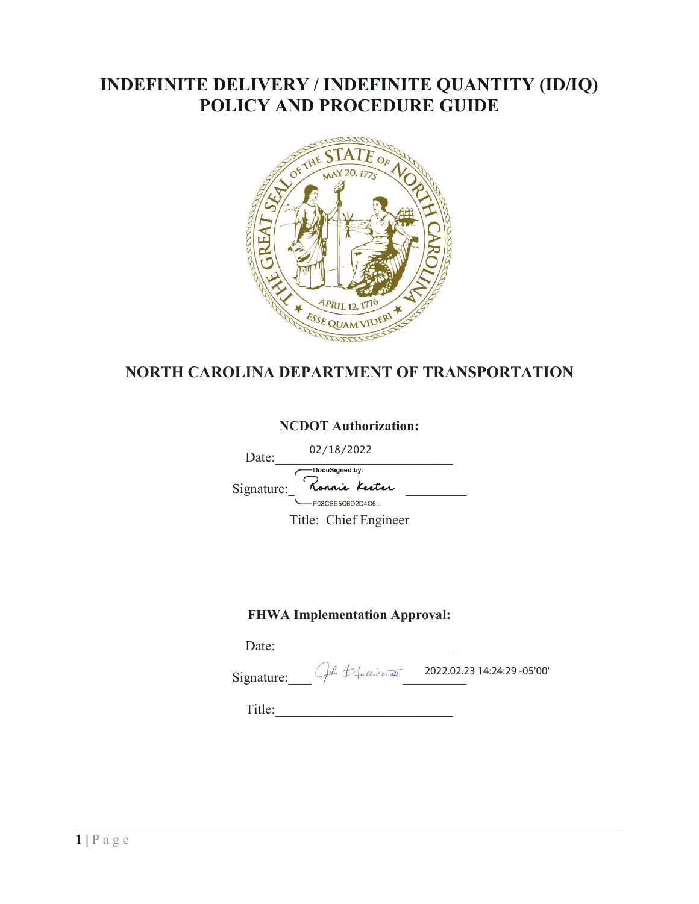## **INDEFINITE DELIVERY / INDEFINITE QUANTITY (ID/IQ) POLICY AND PROCEDURE GUIDE**



## **NORTH CAROLINA DEPARTMENT OF TRANSPORTATION**

## **NCDOT Authorization:**

02/18/2022

Date:  $02/10/2022$ 

Signature: Konnie Keeter

Title: Chief Engineer

## **FHWA Implementation Approval:**

Date: Signature:  $\int d^2x \, dx$  2022.02.23 14:24:29 -05'00'

Title:\_\_\_\_\_\_\_\_\_\_\_\_\_\_\_\_\_\_\_\_\_\_\_\_\_\_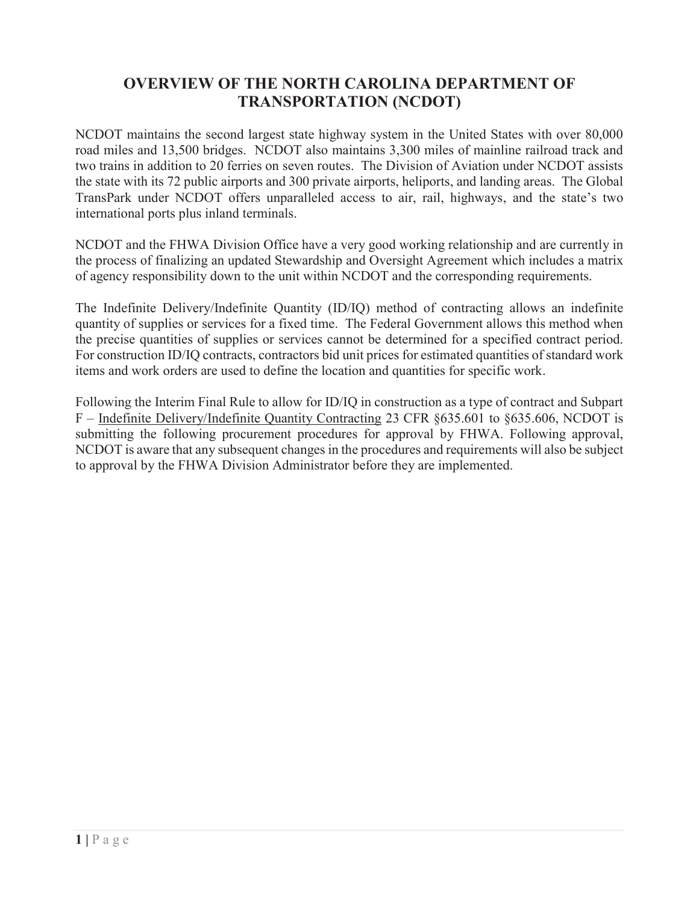## **OVERVIEW OF THE NORTH CAROLINA DEPARTMENT OF TRANSPORTATION (NCDOT)**

NCDOT maintains the second largest state highway system in the United States with over 80,000 road miles and 13,500 bridges. NCDOT also maintains 3,300 miles of mainline railroad track and two trains in addition to 20 ferries on seven routes. The Division of Aviation under NCDOT assists the state with its 72 public airports and 300 private airports, heliports, and landing areas. The Global TransPark under NCDOT offers unparalleled access to air, rail, highways, and the state's two international ports plus inland terminals.

NCDOT and the FHWA Division Office have a very good working relationship and are currently in the process of finalizing an updated Stewardship and Oversight Agreement which includes a matrix of agency responsibility down to the unit within NCDOT and the corresponding requirements.

The Indefinite Delivery/Indefinite Quantity (ID/IQ) method of contracting allows an indefinite quantity of supplies or services for a fixed time. The Federal Government allows this method when the precise quantities of supplies or services cannot be determined for a specified contract period. For construction ID/IQ contracts, contractors bid unit prices for estimated quantities of standard work items and work orders are used to define the location and quantities for specific work.

Following the Interim Final Rule to allow for ID/IQ in construction as a type of contract and Subpart F – Indefinite Delivery/Indefinite Quantity Contracting 23 CFR §635.601 to §635.606, NCDOT is submitting the following procurement procedures for approval by FHWA. Following approval, NCDOT is aware that any subsequent changes in the procedures and requirements will also be subject to approval by the FHWA Division Administrator before they are implemented.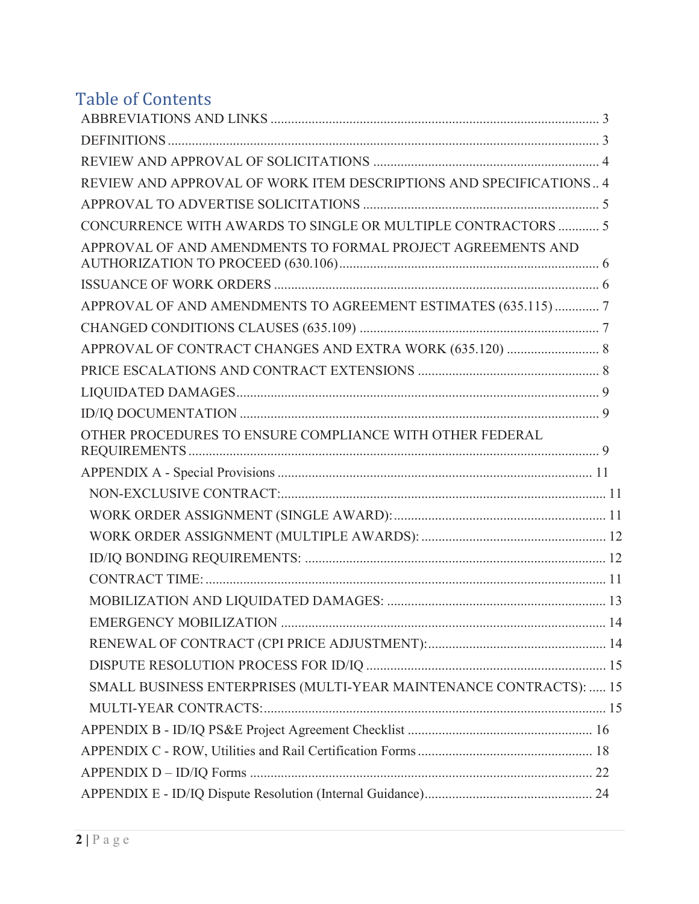# Table of Contents

| REVIEW AND APPROVAL OF WORK ITEM DESCRIPTIONS AND SPECIFICATIONS 4 |  |
|--------------------------------------------------------------------|--|
|                                                                    |  |
| CONCURRENCE WITH AWARDS TO SINGLE OR MULTIPLE CONTRACTORS  5       |  |
| APPROVAL OF AND AMENDMENTS TO FORMAL PROJECT AGREEMENTS AND        |  |
|                                                                    |  |
| APPROVAL OF AND AMENDMENTS TO AGREEMENT ESTIMATES (635.115)  7     |  |
|                                                                    |  |
| APPROVAL OF CONTRACT CHANGES AND EXTRA WORK (635.120)  8           |  |
|                                                                    |  |
|                                                                    |  |
|                                                                    |  |
| OTHER PROCEDURES TO ENSURE COMPLIANCE WITH OTHER FEDERAL           |  |
|                                                                    |  |
|                                                                    |  |
|                                                                    |  |
|                                                                    |  |
|                                                                    |  |
|                                                                    |  |
|                                                                    |  |
|                                                                    |  |
|                                                                    |  |
|                                                                    |  |
| SMALL BUSINESS ENTERPRISES (MULTI-YEAR MAINTENANCE CONTRACTS):  15 |  |
|                                                                    |  |
|                                                                    |  |
|                                                                    |  |
|                                                                    |  |
|                                                                    |  |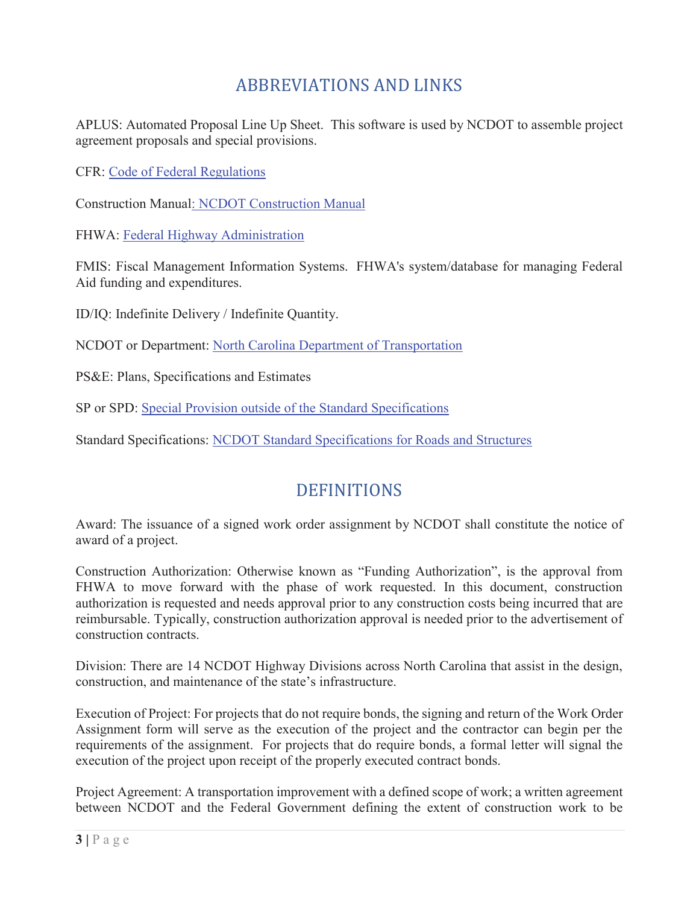# ABBREVIATIONS AND LINKS

APLUS: Automated Proposal Line Up Sheet. This software is used by NCDOT to assemble project agreement proposals and special provisions.

CFR: Code of Federal Regulations

Construction Manual: NCDOT Construction Manual

FHWA: Federal Highway Administration

FMIS: Fiscal Management Information Systems. FHWA's system/database for managing Federal Aid funding and expenditures.

ID/IQ: Indefinite Delivery / Indefinite Quantity.

NCDOT or Department: North Carolina Department of Transportation

PS&E: Plans, Specifications and Estimates

SP or SPD: Special Provision outside of the Standard Specifications

Standard Specifications: NCDOT Standard Specifications for Roads and Structures

## **DEFINITIONS**

Award: The issuance of a signed work order assignment by NCDOT shall constitute the notice of award of a project.

Construction Authorization: Otherwise known as "Funding Authorization", is the approval from FHWA to move forward with the phase of work requested. In this document, construction authorization is requested and needs approval prior to any construction costs being incurred that are reimbursable. Typically, construction authorization approval is needed prior to the advertisement of construction contracts.

Division: There are 14 NCDOT Highway Divisions across North Carolina that assist in the design, construction, and maintenance of the state's infrastructure.

Execution of Project: For projects that do not require bonds, the signing and return of the Work Order Assignment form will serve as the execution of the project and the contractor can begin per the requirements of the assignment. For projects that do require bonds, a formal letter will signal the execution of the project upon receipt of the properly executed contract bonds.

Project Agreement: A transportation improvement with a defined scope of work; a written agreement between NCDOT and the Federal Government defining the extent of construction work to be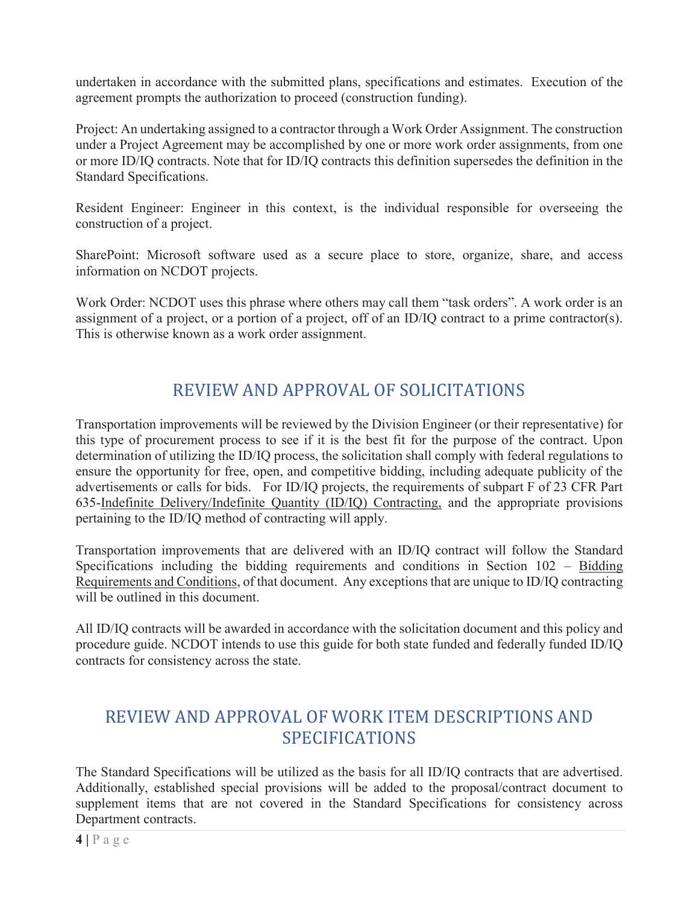undertaken in accordance with the submitted plans, specifications and estimates. Execution of the agreement prompts the authorization to proceed (construction funding).

Project: An undertaking assigned to a contractor through a Work Order Assignment. The construction under a Project Agreement may be accomplished by one or more work order assignments, from one or more ID/IQ contracts. Note that for ID/IQ contracts this definition supersedes the definition in the Standard Specifications.

Resident Engineer: Engineer in this context, is the individual responsible for overseeing the construction of a project.

SharePoint: Microsoft software used as a secure place to store, organize, share, and access information on NCDOT projects.

Work Order: NCDOT uses this phrase where others may call them "task orders". A work order is an assignment of a project, or a portion of a project, off of an ID/IQ contract to a prime contractor(s). This is otherwise known as a work order assignment.

## REVIEW AND APPROVAL OF SOLICITATIONS

Transportation improvements will be reviewed by the Division Engineer (or their representative) for this type of procurement process to see if it is the best fit for the purpose of the contract. Upon determination of utilizing the ID/IQ process, the solicitation shall comply with federal regulations to ensure the opportunity for free, open, and competitive bidding, including adequate publicity of the advertisements or calls for bids. For ID/IQ projects, the requirements of subpart F of 23 CFR Part 635-Indefinite Delivery/Indefinite Quantity (ID/IQ) Contracting, and the appropriate provisions pertaining to the ID/IQ method of contracting will apply.

Transportation improvements that are delivered with an ID/IQ contract will follow the Standard Specifications including the bidding requirements and conditions in Section 102 – Bidding Requirements and Conditions, of that document. Any exceptions that are unique to ID/IQ contracting will be outlined in this document.

All ID/IQ contracts will be awarded in accordance with the solicitation document and this policy and procedure guide. NCDOT intends to use this guide for both state funded and federally funded ID/IQ contracts for consistency across the state.

## REVIEW AND APPROVAL OF WORK ITEM DESCRIPTIONS AND **SPECIFICATIONS**

The Standard Specifications will be utilized as the basis for all ID/IQ contracts that are advertised. Additionally, established special provisions will be added to the proposal/contract document to supplement items that are not covered in the Standard Specifications for consistency across Department contracts.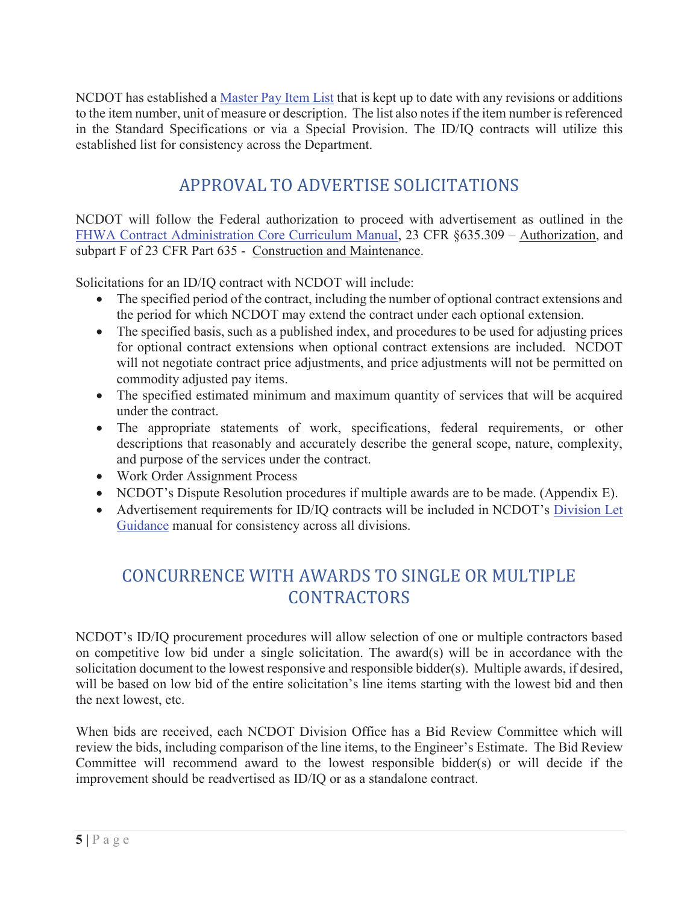NCDOT has established a Master Pay Item List that is kept up to date with any revisions or additions to the item number, unit of measure or description. The list also notes if the item number is referenced in the Standard Specifications or via a Special Provision. The ID/IQ contracts will utilize this established list for consistency across the Department.

## APPROVAL TO ADVERTISE SOLICITATIONS

NCDOT will follow the Federal authorization to proceed with advertisement as outlined in the FHWA Contract Administration Core Curriculum Manual, 23 CFR §635.309 - Authorization, and subpart F of 23 CFR Part 635 - Construction and Maintenance.

Solicitations for an ID/IQ contract with NCDOT will include:

- The specified period of the contract, including the number of optional contract extensions and the period for which NCDOT may extend the contract under each optional extension.
- The specified basis, such as a published index, and procedures to be used for adjusting prices for optional contract extensions when optional contract extensions are included. NCDOT will not negotiate contract price adjustments, and price adjustments will not be permitted on commodity adjusted pay items.
- The specified estimated minimum and maximum quantity of services that will be acquired under the contract.
- The appropriate statements of work, specifications, federal requirements, or other descriptions that reasonably and accurately describe the general scope, nature, complexity, and purpose of the services under the contract.
- Work Order Assignment Process
- NCDOT's Dispute Resolution procedures if multiple awards are to be made. (Appendix E).
- Advertisement requirements for ID/IQ contracts will be included in NCDOT's Division Let Guidance manual for consistency across all divisions.

# CONCURRENCE WITH AWARDS TO SINGLE OR MULTIPLE **CONTRACTORS**

NCDOT's ID/IQ procurement procedures will allow selection of one or multiple contractors based on competitive low bid under a single solicitation. The award(s) will be in accordance with the solicitation document to the lowest responsive and responsible bidder(s). Multiple awards, if desired, will be based on low bid of the entire solicitation's line items starting with the lowest bid and then the next lowest, etc.

When bids are received, each NCDOT Division Office has a Bid Review Committee which will review the bids, including comparison of the line items, to the Engineer's Estimate. The Bid Review Committee will recommend award to the lowest responsible bidder(s) or will decide if the improvement should be readvertised as ID/IQ or as a standalone contract.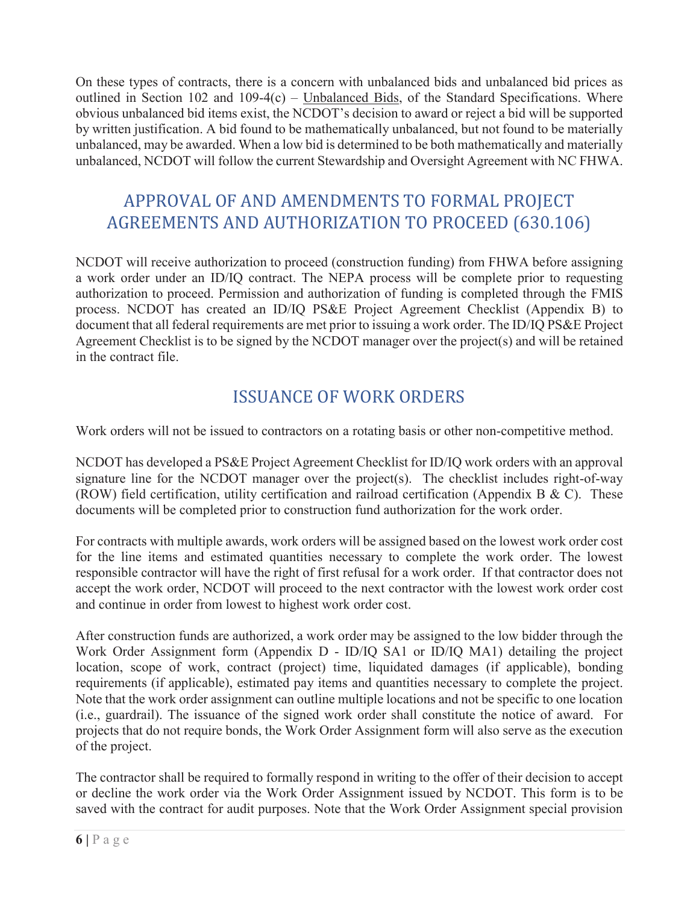On these types of contracts, there is a concern with unbalanced bids and unbalanced bid prices as outlined in Section 102 and 109-4(c) – Unbalanced Bids, of the Standard Specifications. Where obvious unbalanced bid items exist, the NCDOT's decision to award or reject a bid will be supported by written justification. A bid found to be mathematically unbalanced, but not found to be materially unbalanced, may be awarded. When a low bid is determined to be both mathematically and materially unbalanced, NCDOT will follow the current Stewardship and Oversight Agreement with NC FHWA.

# APPROVAL OF AND AMENDMENTS TO FORMAL PROJECT AGREEMENTS AND AUTHORIZATION TO PROCEED (630.106)

NCDOT will receive authorization to proceed (construction funding) from FHWA before assigning a work order under an ID/IQ contract. The NEPA process will be complete prior to requesting authorization to proceed. Permission and authorization of funding is completed through the FMIS process. NCDOT has created an ID/IQ PS&E Project Agreement Checklist (Appendix B) to document that all federal requirements are met prior to issuing a work order. The ID/IQ PS&E Project Agreement Checklist is to be signed by the NCDOT manager over the project(s) and will be retained in the contract file.

# ISSUANCE OF WORK ORDERS

Work orders will not be issued to contractors on a rotating basis or other non-competitive method.

NCDOT has developed a PS&E Project Agreement Checklist for ID/IQ work orders with an approval signature line for the NCDOT manager over the project(s). The checklist includes right-of-way (ROW) field certification, utility certification and railroad certification (Appendix B & C). These documents will be completed prior to construction fund authorization for the work order.

For contracts with multiple awards, work orders will be assigned based on the lowest work order cost for the line items and estimated quantities necessary to complete the work order. The lowest responsible contractor will have the right of first refusal for a work order. If that contractor does not accept the work order, NCDOT will proceed to the next contractor with the lowest work order cost and continue in order from lowest to highest work order cost.

After construction funds are authorized, a work order may be assigned to the low bidder through the Work Order Assignment form (Appendix D - ID/IQ SA1 or ID/IQ MA1) detailing the project location, scope of work, contract (project) time, liquidated damages (if applicable), bonding requirements (if applicable), estimated pay items and quantities necessary to complete the project. Note that the work order assignment can outline multiple locations and not be specific to one location (i.e., guardrail). The issuance of the signed work order shall constitute the notice of award. For projects that do not require bonds, the Work Order Assignment form will also serve as the execution of the project.

The contractor shall be required to formally respond in writing to the offer of their decision to accept or decline the work order via the Work Order Assignment issued by NCDOT. This form is to be saved with the contract for audit purposes. Note that the Work Order Assignment special provision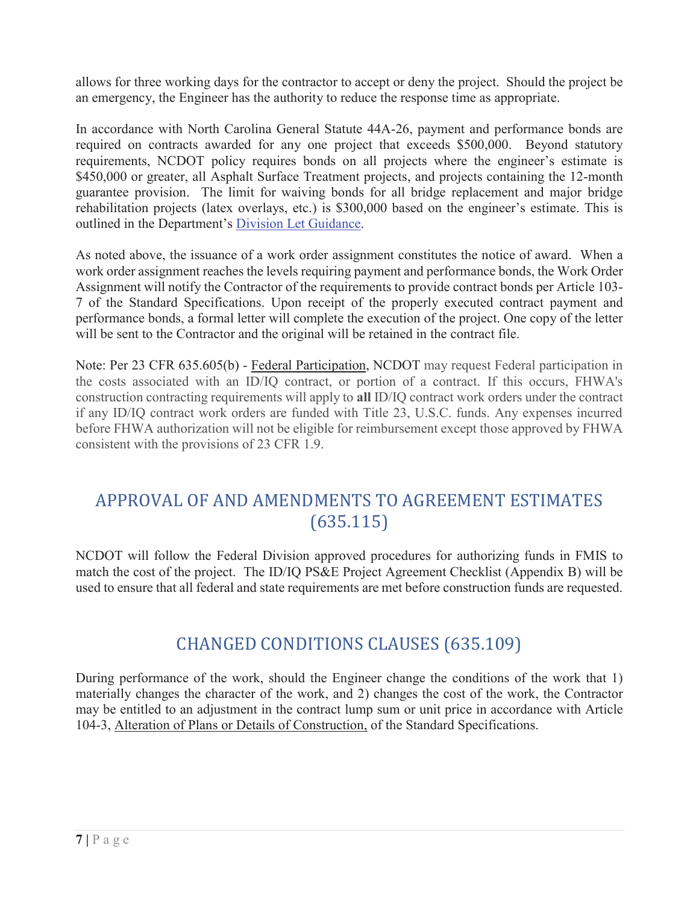allows for three working days for the contractor to accept or deny the project. Should the project be an emergency, the Engineer has the authority to reduce the response time as appropriate.

In accordance with North Carolina General Statute 44A-26, payment and performance bonds are required on contracts awarded for any one project that exceeds \$500,000. Beyond statutory requirements, NCDOT policy requires bonds on all projects where the engineer's estimate is \$450,000 or greater, all Asphalt Surface Treatment projects, and projects containing the 12-month guarantee provision. The limit for waiving bonds for all bridge replacement and major bridge rehabilitation projects (latex overlays, etc.) is \$300,000 based on the engineer's estimate. This is outlined in the Department's Division Let Guidance.

As noted above, the issuance of a work order assignment constitutes the notice of award. When a work order assignment reaches the levels requiring payment and performance bonds, the Work Order Assignment will notify the Contractor of the requirements to provide contract bonds per Article 103- 7 of the Standard Specifications. Upon receipt of the properly executed contract payment and performance bonds, a formal letter will complete the execution of the project. One copy of the letter will be sent to the Contractor and the original will be retained in the contract file.

Note: Per 23 CFR 635.605(b) - Federal Participation, NCDOT may request Federal participation in the costs associated with an ID/IQ contract, or portion of a contract. If this occurs, FHWA's construction contracting requirements will apply to **all** ID/IQ contract work orders under the contract if any ID/IQ contract work orders are funded with Title 23, U.S.C. funds. Any expenses incurred before FHWA authorization will not be eligible for reimbursement except those approved by FHWA consistent with the provisions of 23 CFR 1.9.

# APPROVAL OF AND AMENDMENTS TO AGREEMENT ESTIMATES (635.115)

NCDOT will follow the Federal Division approved procedures for authorizing funds in FMIS to match the cost of the project. The ID/IQ PS&E Project Agreement Checklist (Appendix B) will be used to ensure that all federal and state requirements are met before construction funds are requested.

## CHANGED CONDITIONS CLAUSES (635.109)

During performance of the work, should the Engineer change the conditions of the work that 1) materially changes the character of the work, and 2) changes the cost of the work, the Contractor may be entitled to an adjustment in the contract lump sum or unit price in accordance with Article 104-3, Alteration of Plans or Details of Construction, of the Standard Specifications.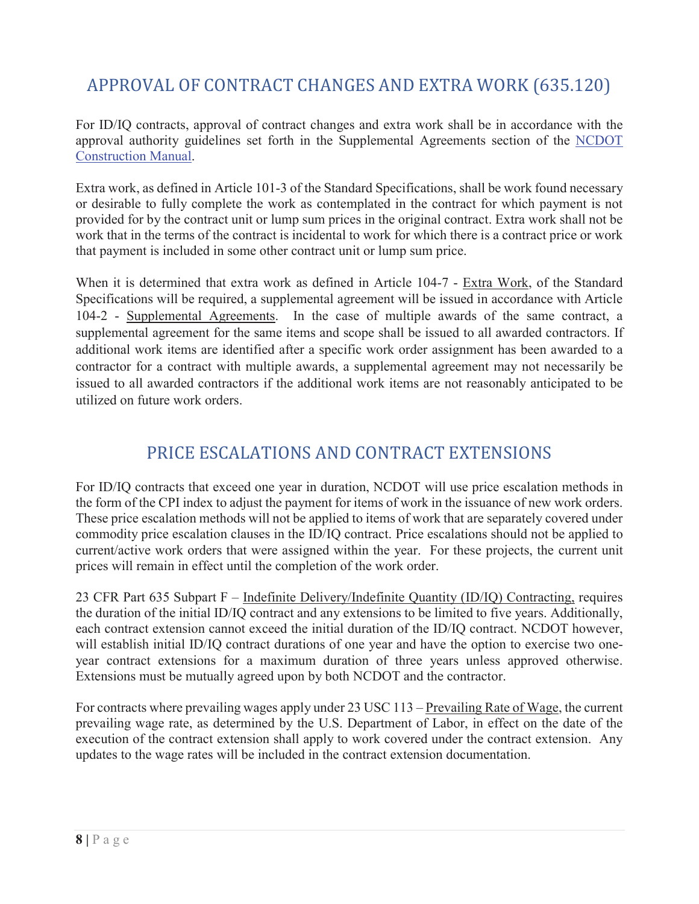# APPROVAL OF CONTRACT CHANGES AND EXTRA WORK (635.120)

For ID/IQ contracts, approval of contract changes and extra work shall be in accordance with the approval authority guidelines set forth in the Supplemental Agreements section of the NCDOT Construction Manual.

Extra work, as defined in Article 101-3 of the Standard Specifications, shall be work found necessary or desirable to fully complete the work as contemplated in the contract for which payment is not provided for by the contract unit or lump sum prices in the original contract. Extra work shall not be work that in the terms of the contract is incidental to work for which there is a contract price or work that payment is included in some other contract unit or lump sum price.

When it is determined that extra work as defined in Article 104-7 - Extra Work, of the Standard Specifications will be required, a supplemental agreement will be issued in accordance with Article 104-2 - Supplemental Agreements. In the case of multiple awards of the same contract, a supplemental agreement for the same items and scope shall be issued to all awarded contractors. If additional work items are identified after a specific work order assignment has been awarded to a contractor for a contract with multiple awards, a supplemental agreement may not necessarily be issued to all awarded contractors if the additional work items are not reasonably anticipated to be utilized on future work orders.

## PRICE ESCALATIONS AND CONTRACT EXTENSIONS

For ID/IQ contracts that exceed one year in duration, NCDOT will use price escalation methods in the form of the CPI index to adjust the payment for items of work in the issuance of new work orders. These price escalation methods will not be applied to items of work that are separately covered under commodity price escalation clauses in the ID/IQ contract. Price escalations should not be applied to current/active work orders that were assigned within the year. For these projects, the current unit prices will remain in effect until the completion of the work order.

23 CFR Part 635 Subpart F – Indefinite Delivery/Indefinite Quantity (ID/IQ) Contracting, requires the duration of the initial ID/IQ contract and any extensions to be limited to five years. Additionally, each contract extension cannot exceed the initial duration of the ID/IQ contract. NCDOT however, will establish initial ID/IQ contract durations of one year and have the option to exercise two oneyear contract extensions for a maximum duration of three years unless approved otherwise. Extensions must be mutually agreed upon by both NCDOT and the contractor.

For contracts where prevailing wages apply under 23 USC 113 – Prevailing Rate of Wage, the current prevailing wage rate, as determined by the U.S. Department of Labor, in effect on the date of the execution of the contract extension shall apply to work covered under the contract extension. Any updates to the wage rates will be included in the contract extension documentation.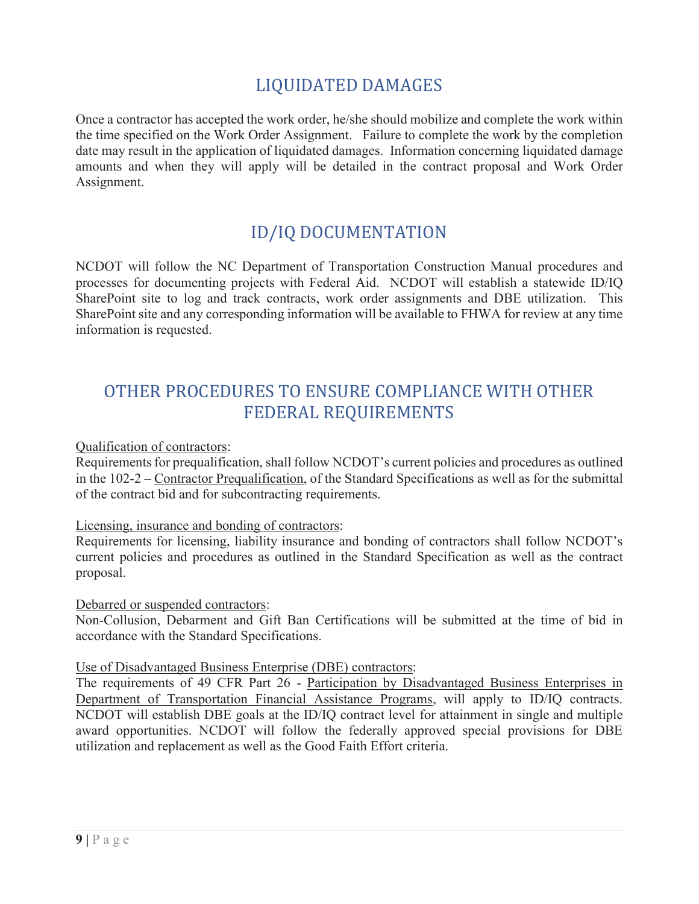## LIQUIDATED DAMAGES

Once a contractor has accepted the work order, he/she should mobilize and complete the work within the time specified on the Work Order Assignment. Failure to complete the work by the completion date may result in the application of liquidated damages. Information concerning liquidated damage amounts and when they will apply will be detailed in the contract proposal and Work Order Assignment.

## ID/IQ DOCUMENTATION

NCDOT will follow the NC Department of Transportation Construction Manual procedures and processes for documenting projects with Federal Aid. NCDOT will establish a statewide ID/IQ SharePoint site to log and track contracts, work order assignments and DBE utilization. This SharePoint site and any corresponding information will be available to FHWA for review at any time information is requested.

## OTHER PROCEDURES TO ENSURE COMPLIANCE WITH OTHER FEDERAL REQUIREMENTS

Qualification of contractors:

Requirements for prequalification, shall follow NCDOT's current policies and procedures as outlined in the 102-2 – Contractor Prequalification, of the Standard Specifications as well as for the submittal of the contract bid and for subcontracting requirements.

#### Licensing, insurance and bonding of contractors:

Requirements for licensing, liability insurance and bonding of contractors shall follow NCDOT's current policies and procedures as outlined in the Standard Specification as well as the contract proposal.

#### Debarred or suspended contractors:

Non-Collusion, Debarment and Gift Ban Certifications will be submitted at the time of bid in accordance with the Standard Specifications.

#### Use of Disadvantaged Business Enterprise (DBE) contractors:

The requirements of 49 CFR Part 26 - Participation by Disadvantaged Business Enterprises in Department of Transportation Financial Assistance Programs, will apply to ID/IQ contracts. NCDOT will establish DBE goals at the ID/IQ contract level for attainment in single and multiple award opportunities. NCDOT will follow the federally approved special provisions for DBE utilization and replacement as well as the Good Faith Effort criteria.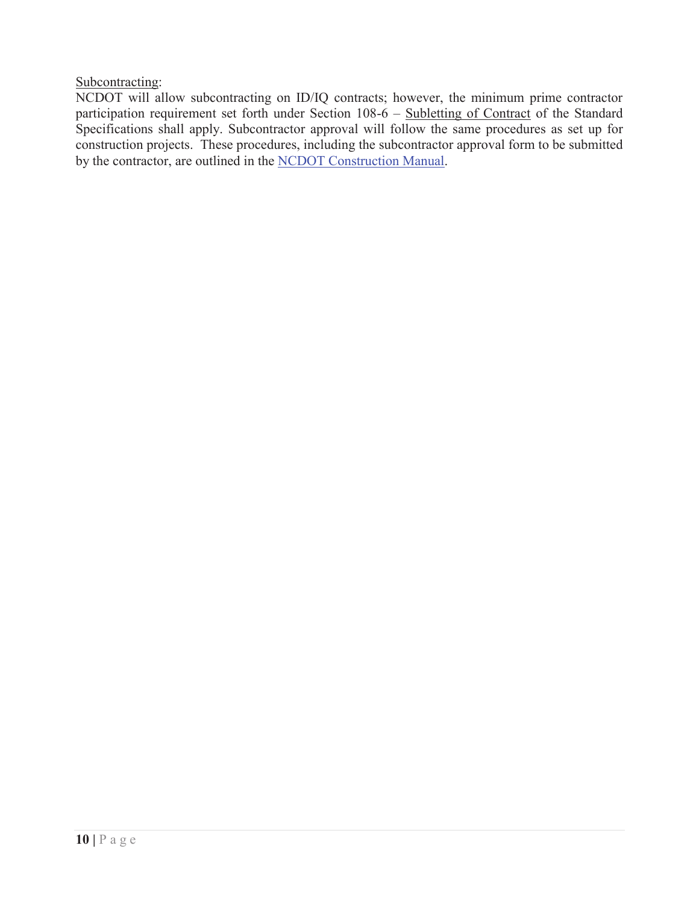Subcontracting:

NCDOT will allow subcontracting on ID/IQ contracts; however, the minimum prime contractor participation requirement set forth under Section 108-6 – Subletting of Contract of the Standard Specifications shall apply. Subcontractor approval will follow the same procedures as set up for construction projects. These procedures, including the subcontractor approval form to be submitted by the contractor, are outlined in the NCDOT Construction Manual.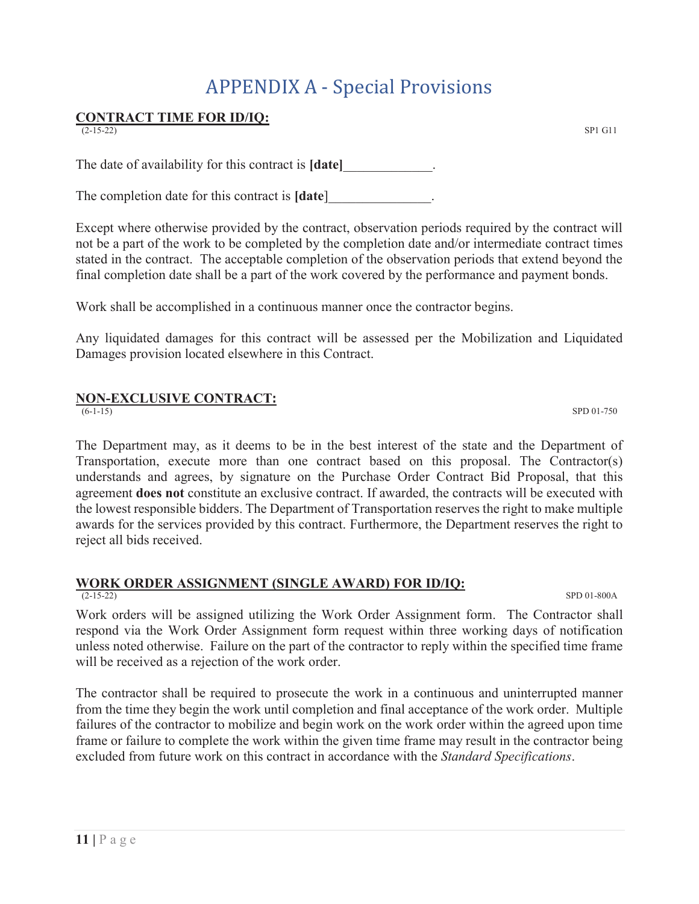# APPENDIX A - Special Provisions

# **CONTRACT TIME FOR ID/IQ:**

The date of availability for this contract is **[date]** 

The completion date for this contract is **[date**]\_\_\_\_\_\_\_\_\_\_\_\_\_\_\_.

Except where otherwise provided by the contract, observation periods required by the contract will not be a part of the work to be completed by the completion date and/or intermediate contract times stated in the contract. The acceptable completion of the observation periods that extend beyond the final completion date shall be a part of the work covered by the performance and payment bonds.

Work shall be accomplished in a continuous manner once the contractor begins.

Any liquidated damages for this contract will be assessed per the Mobilization and Liquidated Damages provision located elsewhere in this Contract.

## **NON-EXCLUSIVE CONTRACT:**

(6-1-15) SPD 01-750

The Department may, as it deems to be in the best interest of the state and the Department of Transportation, execute more than one contract based on this proposal. The Contractor(s) understands and agrees, by signature on the Purchase Order Contract Bid Proposal, that this agreement **does not** constitute an exclusive contract. If awarded, the contracts will be executed with the lowest responsible bidders. The Department of Transportation reserves the right to make multiple awards for the services provided by this contract. Furthermore, the Department reserves the right to reject all bids received.

## **WORK ORDER ASSIGNMENT (SINGLE AWARD) FOR ID/IQ:**

(2-15-22) SPD 01-800A

Work orders will be assigned utilizing the Work Order Assignment form. The Contractor shall respond via the Work Order Assignment form request within three working days of notification unless noted otherwise. Failure on the part of the contractor to reply within the specified time frame will be received as a rejection of the work order.

The contractor shall be required to prosecute the work in a continuous and uninterrupted manner from the time they begin the work until completion and final acceptance of the work order. Multiple failures of the contractor to mobilize and begin work on the work order within the agreed upon time frame or failure to complete the work within the given time frame may result in the contractor being excluded from future work on this contract in accordance with the *Standard Specifications*.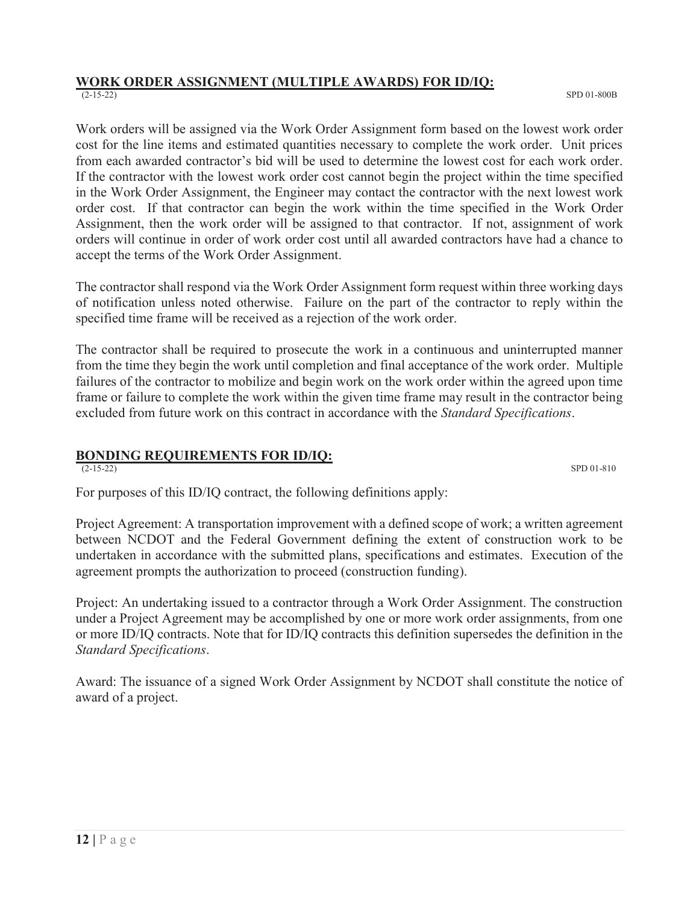#### **WORK ORDER ASSIGNMENT (MULTIPLE AWARDS) FOR ID/IQ:**  (2-15-22) SPD 01-800B

Work orders will be assigned via the Work Order Assignment form based on the lowest work order cost for the line items and estimated quantities necessary to complete the work order. Unit prices from each awarded contractor's bid will be used to determine the lowest cost for each work order. If the contractor with the lowest work order cost cannot begin the project within the time specified in the Work Order Assignment, the Engineer may contact the contractor with the next lowest work order cost. If that contractor can begin the work within the time specified in the Work Order Assignment, then the work order will be assigned to that contractor. If not, assignment of work orders will continue in order of work order cost until all awarded contractors have had a chance to accept the terms of the Work Order Assignment.

The contractor shall respond via the Work Order Assignment form request within three working days of notification unless noted otherwise. Failure on the part of the contractor to reply within the specified time frame will be received as a rejection of the work order.

The contractor shall be required to prosecute the work in a continuous and uninterrupted manner from the time they begin the work until completion and final acceptance of the work order. Multiple failures of the contractor to mobilize and begin work on the work order within the agreed upon time frame or failure to complete the work within the given time frame may result in the contractor being excluded from future work on this contract in accordance with the *Standard Specifications*.

## **BONDING REQUIREMENTS FOR ID/IQ:**

(2-15-22) SPD 01-810

For purposes of this ID/IQ contract, the following definitions apply:

Project Agreement: A transportation improvement with a defined scope of work; a written agreement between NCDOT and the Federal Government defining the extent of construction work to be undertaken in accordance with the submitted plans, specifications and estimates. Execution of the agreement prompts the authorization to proceed (construction funding).

Project: An undertaking issued to a contractor through a Work Order Assignment. The construction under a Project Agreement may be accomplished by one or more work order assignments, from one or more ID/IQ contracts. Note that for ID/IQ contracts this definition supersedes the definition in the *Standard Specifications*.

Award: The issuance of a signed Work Order Assignment by NCDOT shall constitute the notice of award of a project.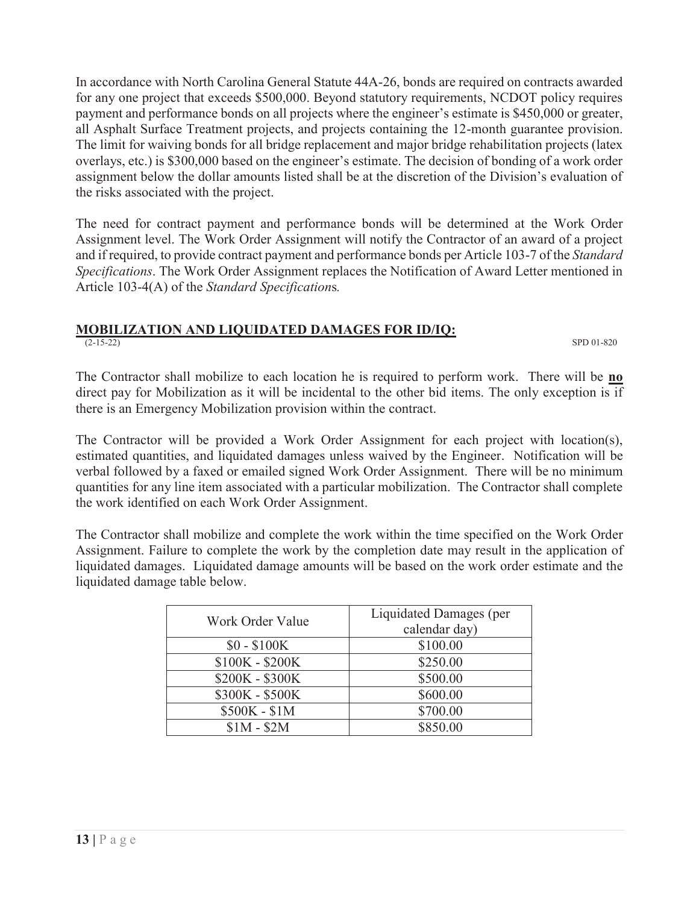In accordance with North Carolina General Statute 44A-26, bonds are required on contracts awarded for any one project that exceeds \$500,000. Beyond statutory requirements, NCDOT policy requires payment and performance bonds on all projects where the engineer's estimate is \$450,000 or greater, all Asphalt Surface Treatment projects, and projects containing the 12-month guarantee provision. The limit for waiving bonds for all bridge replacement and major bridge rehabilitation projects (latex overlays, etc.) is \$300,000 based on the engineer's estimate. The decision of bonding of a work order assignment below the dollar amounts listed shall be at the discretion of the Division's evaluation of the risks associated with the project.

The need for contract payment and performance bonds will be determined at the Work Order Assignment level. The Work Order Assignment will notify the Contractor of an award of a project and if required, to provide contract payment and performance bonds per Article 103-7 of the *Standard Specifications*. The Work Order Assignment replaces the Notification of Award Letter mentioned in Article 103-4(A) of the *Standard Specification*s*.*

#### **MOBILIZATION AND LIQUIDATED DAMAGES FOR ID/IQ:** (2-15-22) SPD 01-820

The Contractor shall mobilize to each location he is required to perform work. There will be **no** direct pay for Mobilization as it will be incidental to the other bid items. The only exception is if there is an Emergency Mobilization provision within the contract.

The Contractor will be provided a Work Order Assignment for each project with location(s), estimated quantities, and liquidated damages unless waived by the Engineer. Notification will be verbal followed by a faxed or emailed signed Work Order Assignment. There will be no minimum quantities for any line item associated with a particular mobilization. The Contractor shall complete the work identified on each Work Order Assignment.

The Contractor shall mobilize and complete the work within the time specified on the Work Order Assignment. Failure to complete the work by the completion date may result in the application of liquidated damages. Liquidated damage amounts will be based on the work order estimate and the liquidated damage table below.

| Work Order Value | Liquidated Damages (per |
|------------------|-------------------------|
|                  | calendar day)           |
| $$0 - $100K$$    | \$100.00                |
| \$100K - \$200K  | \$250.00                |
| \$200K - \$300K  | \$500.00                |
| \$300K - \$500K  | \$600.00                |
| \$500K - \$1M    | \$700.00                |
| $$1M - $2M$      | \$850.00                |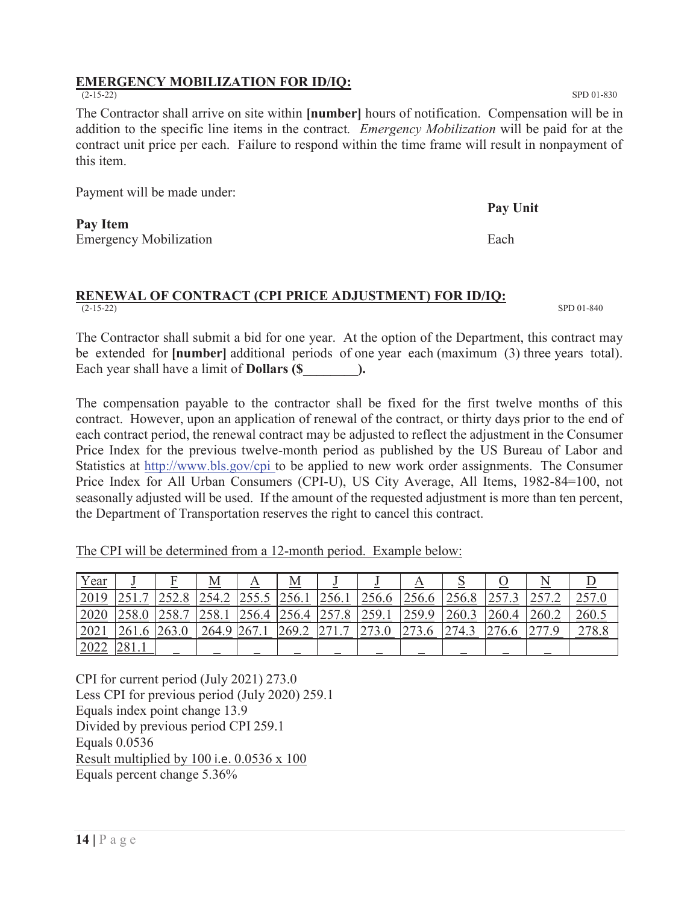## **EMERGENCY MOBILIZATION FOR ID/IQ:**

The Contractor shall arrive on site within **[number]** hours of notification. Compensation will be in addition to the specific line items in the contract*. Emergency Mobilization* will be paid for at the contract unit price per each. Failure to respond within the time frame will result in nonpayment of this item.

Payment will be made under:

**Pay Item**  Emergency Mobilization **Example 2** Each example 2 and Each example 2 and Each example 2 and Each example 2 and Each example 2 and Each example 2 and Each example 2 and Each example 2 and Each example 2 and 2 and 2 and 2 an

#### **RENEWAL OF CONTRACT (CPI PRICE ADJUSTMENT) FOR ID/IQ:**  $(2-15-22)$  $(SPD 01-840)$  SPD 01-840

The Contractor shall submit a bid for one year. At the option of the Department, this contract may be extended for **[number]** additional periods of one year each (maximum (3) three years total). Each year shall have a limit of **Dollars (\$**  $\qquad \qquad$  ).

The compensation payable to the contractor shall be fixed for the first twelve months of this contract. However, upon an application of renewal of the contract, or thirty days prior to the end of each contract period, the renewal contract may be adjusted to reflect the adjustment in the Consumer Price Index for the previous twelve-month period as published by the US Bureau of Labor and Statistics at http://www.bls.gov/cpi to be applied to new work order assignments. The Consumer Price Index for All Urban Consumers (CPI-U), US City Average, All Items, 1982-84=100, not seasonally adjusted will be used. If the amount of the requested adjustment is more than ten percent, the Department of Transportation reserves the right to cancel this contract.

|--|

| <u>Year</u> |                        |                                                  | Μ                                                                            | A                     | $\bm{\mathrm{M}}$ |                                                |             | A            |              |                                       |               |       |
|-------------|------------------------|--------------------------------------------------|------------------------------------------------------------------------------|-----------------------|-------------------|------------------------------------------------|-------------|--------------|--------------|---------------------------------------|---------------|-------|
| 2019        | $\overline{ }$         | $\epsilon$<br>252.U                              | 2542<br>$\overline{\phantom{a}}\overline{\phantom{a}}\overline{\phantom{a}}$ | $\bigcap$<br>ں ، ں رے | 1256.1            | 256.1                                          | 256.6       | 256.6        | 2568<br>20.6 | 257<br>ن ، رے                         | つよつ<br>45 L P | 257   |
| 2020        | 290.U                  | $\neg$ $\leq$ $\circ$<br>$\overline{ }$<br>∠J∪•⊥ | 250<br>2.00.1                                                                | 256.4                 | 256.4             | 257<br>$\circ$<br>2J/0                         | 259.1       | 259.9        | 260.3        | 260.4                                 | 260.2         | 260.5 |
| 2021        |                        | 263.0                                            | 264.9                                                                        | 267<br>ZU / . 1       | 269.2             | $\sim$<br>$\overline{ }$<br>،  ے ا<br>$\cdots$ | 72<br>' J.∪ | 272<br>2/3.6 | 274.3        | 27<br>0.6<br>$\overline{\phantom{0}}$ | 077           | 278.8 |
| 2022        | $\bigcap$ 0.1<br>401.1 |                                                  |                                                                              |                       |                   |                                                |             |              |              |                                       |               |       |

CPI for current period (July 2021) 273.0 Less CPI for previous period (July 2020) 259.1 Equals index point change 13.9 Divided by previous period CPI 259.1 Equals 0.0536 Result multiplied by 100 i.e. 0.0536 x 100 Equals percent change 5.36%

(2-15-22) SPD 01-830

**Pay Unit**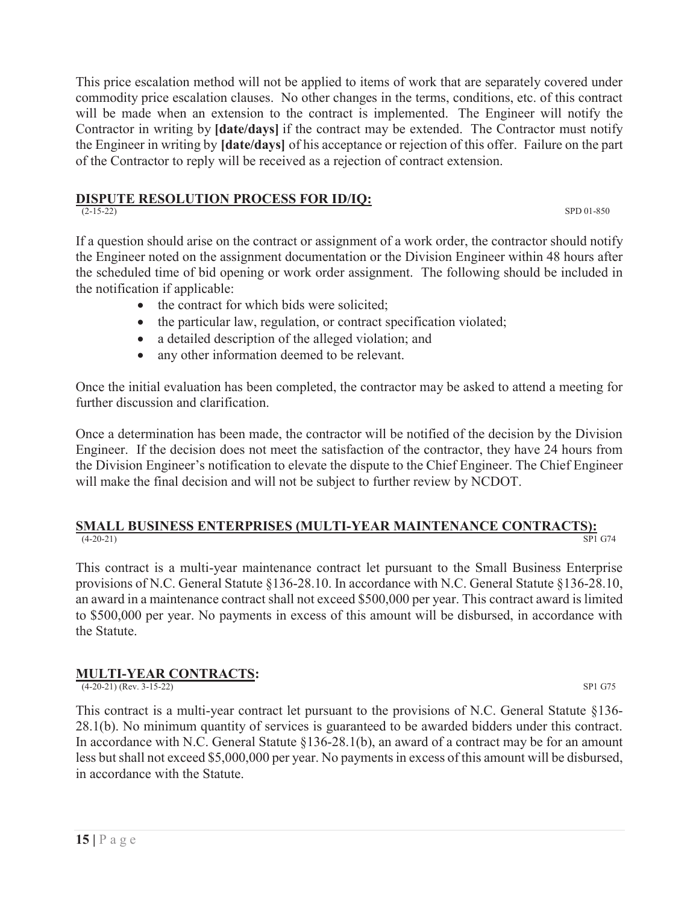This price escalation method will not be applied to items of work that are separately covered under commodity price escalation clauses. No other changes in the terms, conditions, etc. of this contract will be made when an extension to the contract is implemented. The Engineer will notify the Contractor in writing by **[date/days]** if the contract may be extended. The Contractor must notify the Engineer in writing by **[date/days]** of his acceptance or rejection of this offer. Failure on the part of the Contractor to reply will be received as a rejection of contract extension.

## **DISPUTE RESOLUTION PROCESS FOR ID/IQ:**

 $(2-15-22)$  SPD 01-850

If a question should arise on the contract or assignment of a work order, the contractor should notify the Engineer noted on the assignment documentation or the Division Engineer within 48 hours after the scheduled time of bid opening or work order assignment. The following should be included in the notification if applicable:

- the contract for which bids were solicited;
- $\bullet$  the particular law, regulation, or contract specification violated;
- a detailed description of the alleged violation; and
- any other information deemed to be relevant.

Once the initial evaluation has been completed, the contractor may be asked to attend a meeting for further discussion and clarification.

Once a determination has been made, the contractor will be notified of the decision by the Division Engineer. If the decision does not meet the satisfaction of the contractor, they have 24 hours from the Division Engineer's notification to elevate the dispute to the Chief Engineer. The Chief Engineer will make the final decision and will not be subject to further review by NCDOT.

### **SMALL BUSINESS ENTERPRISES (MULTI-YEAR MAINTENANCE CONTRACTS):** <sup>8P1</sup> G74 (4-20-21) SP1 G74

This contract is a multi-year maintenance contract let pursuant to the Small Business Enterprise provisions of N.C. General Statute §136-28.10. In accordance with N.C. General Statute §136-28.10, an award in a maintenance contract shall not exceed \$500,000 per year. This contract award is limited to \$500,000 per year. No payments in excess of this amount will be disbursed, in accordance with the Statute.

## **MULTI-YEAR CONTRACTS:**

(4-20-21) (Rev. 3-15-22) SP1 G75

This contract is a multi-year contract let pursuant to the provisions of N.C. General Statute §136- 28.1(b). No minimum quantity of services is guaranteed to be awarded bidders under this contract. In accordance with N.C. General Statute §136-28.1(b), an award of a contract may be for an amount less but shall not exceed \$5,000,000 per year. No payments in excess of this amount will be disbursed, in accordance with the Statute.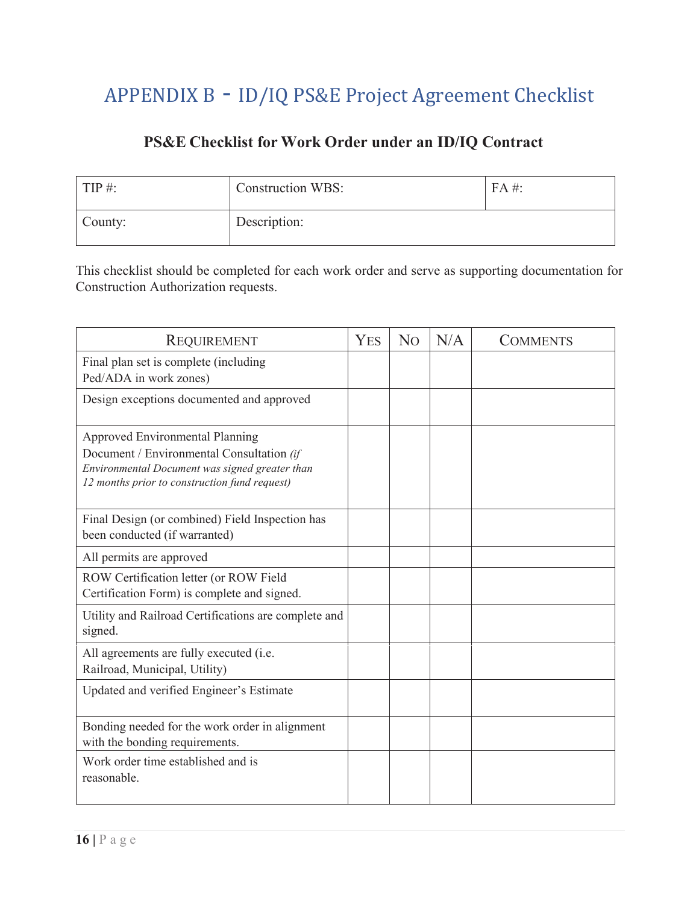# APPENDIX B - ID/IQ PS&E Project Agreement Checklist

## **PS&E Checklist for Work Order under an ID/IQ Contract**

| $TIP \#$ : | <b>Construction WBS:</b> | $FA \#$ |
|------------|--------------------------|---------|
| County:    | Description:             |         |

This checklist should be completed for each work order and serve as supporting documentation for Construction Authorization requests.

| <b>REQUIREMENT</b>                                                                                                                                                              | <b>YES</b> | N <sub>O</sub> | N/A | <b>COMMENTS</b> |
|---------------------------------------------------------------------------------------------------------------------------------------------------------------------------------|------------|----------------|-----|-----------------|
| Final plan set is complete (including<br>Ped/ADA in work zones)                                                                                                                 |            |                |     |                 |
| Design exceptions documented and approved                                                                                                                                       |            |                |     |                 |
| Approved Environmental Planning<br>Document / Environmental Consultation (if<br>Environmental Document was signed greater than<br>12 months prior to construction fund request) |            |                |     |                 |
| Final Design (or combined) Field Inspection has<br>been conducted (if warranted)                                                                                                |            |                |     |                 |
| All permits are approved                                                                                                                                                        |            |                |     |                 |
| ROW Certification letter (or ROW Field<br>Certification Form) is complete and signed.                                                                                           |            |                |     |                 |
| Utility and Railroad Certifications are complete and<br>signed.                                                                                                                 |            |                |     |                 |
| All agreements are fully executed (i.e.<br>Railroad, Municipal, Utility)                                                                                                        |            |                |     |                 |
| Updated and verified Engineer's Estimate                                                                                                                                        |            |                |     |                 |
| Bonding needed for the work order in alignment<br>with the bonding requirements.                                                                                                |            |                |     |                 |
| Work order time established and is<br>reasonable.                                                                                                                               |            |                |     |                 |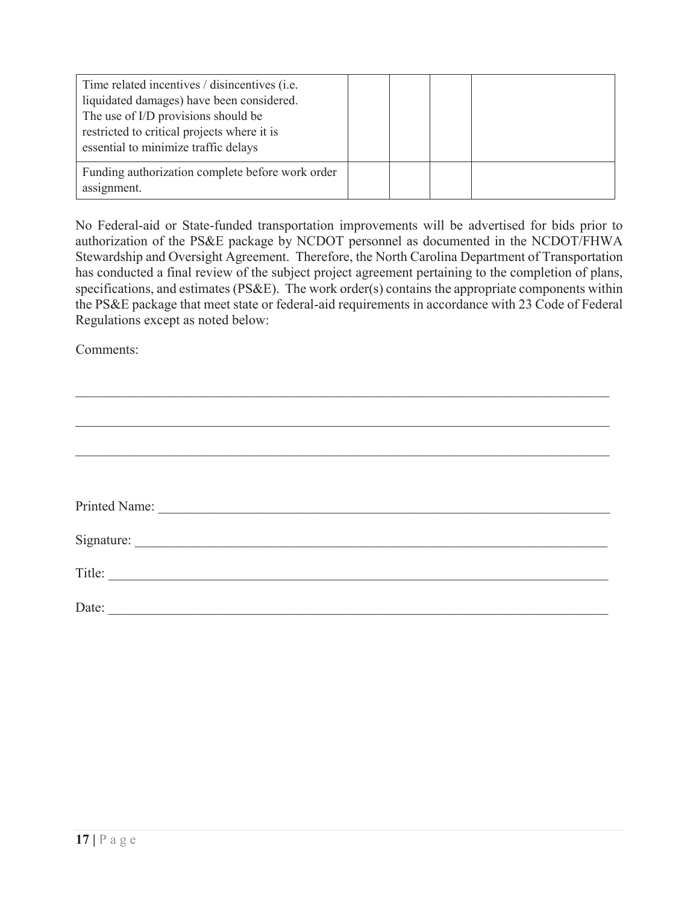| Time related incentives / disincentives (i.e.<br>liquidated damages) have been considered.<br>The use of I/D provisions should be<br>restricted to critical projects where it is<br>essential to minimize traffic delays |  |  |
|--------------------------------------------------------------------------------------------------------------------------------------------------------------------------------------------------------------------------|--|--|
| Funding authorization complete before work order<br>assignment.                                                                                                                                                          |  |  |

No Federal-aid or State-funded transportation improvements will be advertised for bids prior to authorization of the PS&E package by NCDOT personnel as documented in the NCDOT/FHWA Stewardship and Oversight Agreement. Therefore, the North Carolina Department of Transportation has conducted a final review of the subject project agreement pertaining to the completion of plans, specifications, and estimates (PS&E). The work order(s) contains the appropriate components within the PS&E package that meet state or federal-aid requirements in accordance with 23 Code of Federal Regulations except as noted below:

Comments:

| Printed Name: |  |  |
|---------------|--|--|
|               |  |  |
| Title:        |  |  |
| Date:         |  |  |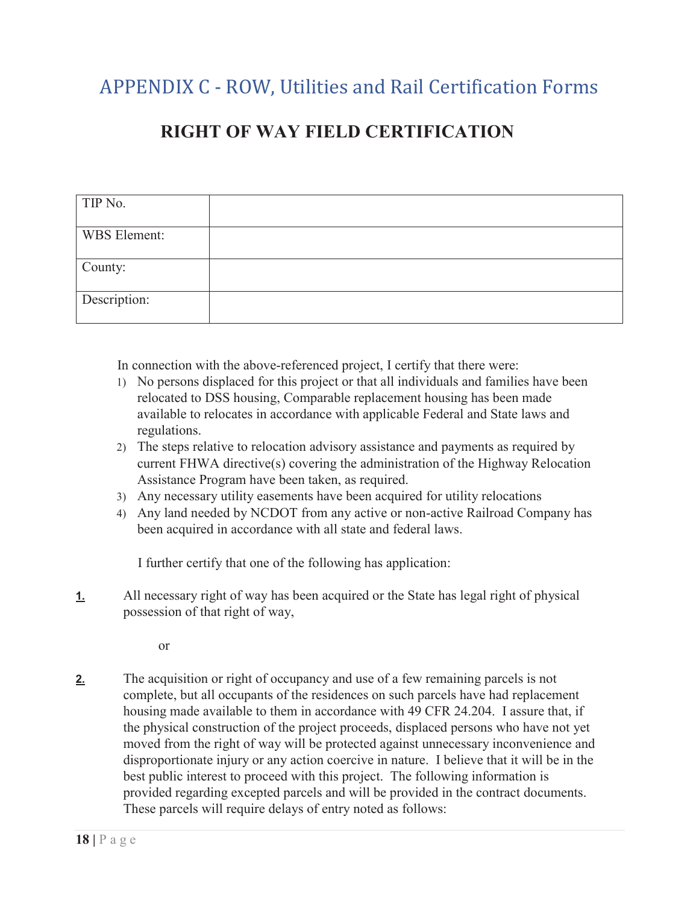# APPENDIX C - ROW, Utilities and Rail Certification Forms

## **RIGHT OF WAY FIELD CERTIFICATION**

| TIP No.      |  |
|--------------|--|
| WBS Element: |  |
| County:      |  |
| Description: |  |

In connection with the above-referenced project, I certify that there were:

- 1) No persons displaced for this project or that all individuals and families have been relocated to DSS housing, Comparable replacement housing has been made available to relocates in accordance with applicable Federal and State laws and regulations.
- 2) The steps relative to relocation advisory assistance and payments as required by current FHWA directive(s) covering the administration of the Highway Relocation Assistance Program have been taken, as required.
- 3) Any necessary utility easements have been acquired for utility relocations
- 4) Any land needed by NCDOT from any active or non-active Railroad Company has been acquired in accordance with all state and federal laws.

I further certify that one of the following has application:

**1.** All necessary right of way has been acquired or the State has legal right of physical possession of that right of way,

or

**2.** The acquisition or right of occupancy and use of a few remaining parcels is not complete, but all occupants of the residences on such parcels have had replacement housing made available to them in accordance with 49 CFR 24.204. I assure that, if the physical construction of the project proceeds, displaced persons who have not yet moved from the right of way will be protected against unnecessary inconvenience and disproportionate injury or any action coercive in nature. I believe that it will be in the best public interest to proceed with this project. The following information is provided regarding excepted parcels and will be provided in the contract documents. These parcels will require delays of entry noted as follows: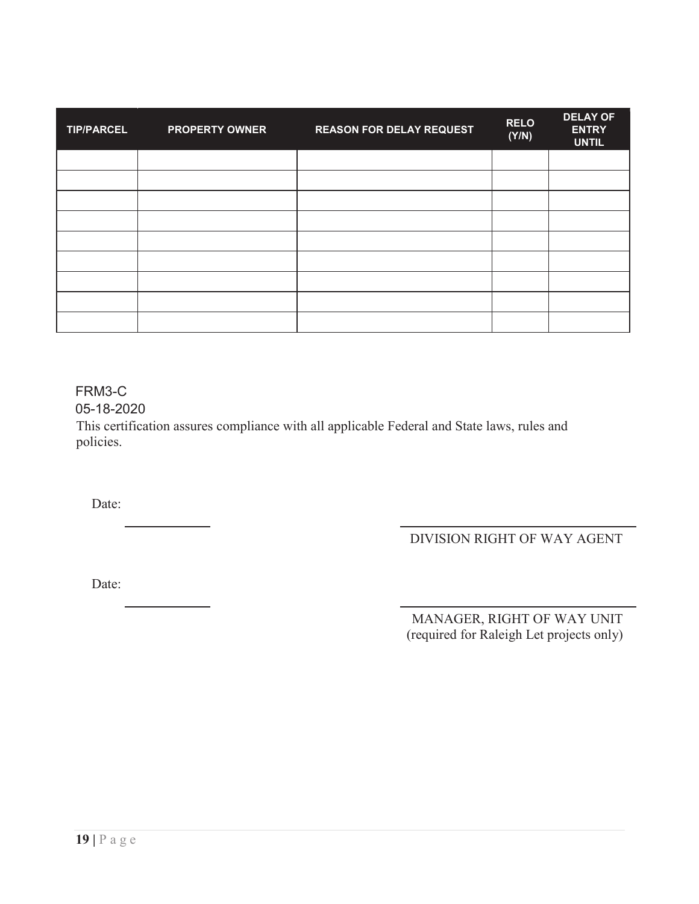| <b>TIP/PARCEL</b> | <b>PROPERTY OWNER</b> | <b>REASON FOR DELAY REQUEST</b> | <b>RELO</b><br>(Y/N) | <b>DELAY OF</b><br><b>ENTRY</b><br><b>UNTIL</b> |
|-------------------|-----------------------|---------------------------------|----------------------|-------------------------------------------------|
|                   |                       |                                 |                      |                                                 |
|                   |                       |                                 |                      |                                                 |
|                   |                       |                                 |                      |                                                 |
|                   |                       |                                 |                      |                                                 |
|                   |                       |                                 |                      |                                                 |
|                   |                       |                                 |                      |                                                 |
|                   |                       |                                 |                      |                                                 |
|                   |                       |                                 |                      |                                                 |
|                   |                       |                                 |                      |                                                 |

FRM3-C

05-18-2020

This certification assures compliance with all applicable Federal and State laws, rules and policies.

Date:

DIVISION RIGHT OF WAY AGENT

Date:

 MANAGER, RIGHT OF WAY UNIT (required for Raleigh Let projects only)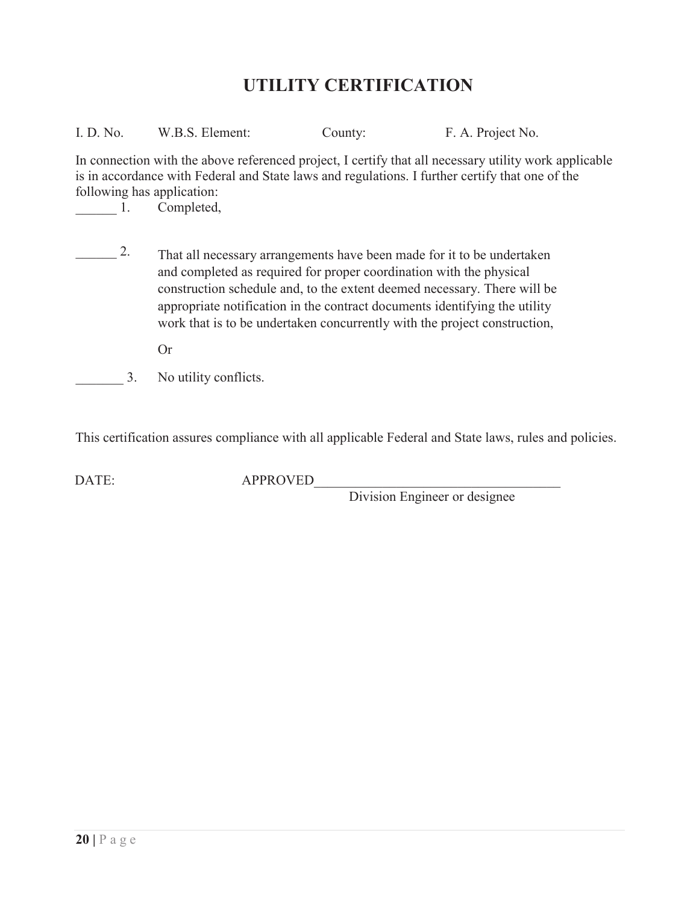## **UTILITY CERTIFICATION**

| I. D. No. | W.B.S. Element: | County: | F. A. Project No. |
|-----------|-----------------|---------|-------------------|
|           |                 |         |                   |

In connection with the above referenced project, I certify that all necessary utility work applicable is in accordance with Federal and State laws and regulations. I further certify that one of the following has application:

 $\qquad \qquad 1.$ Completed,

 $\frac{2}{\sqrt{2}}$  That all necessary arrangements have been made for it to be undertaken and completed as required for proper coordination with the physical construction schedule and, to the extent deemed necessary. There will be appropriate notification in the contract documents identifying the utility work that is to be undertaken concurrently with the project construction,

Or

3. No utility conflicts.

This certification assures compliance with all applicable Federal and State laws, rules and policies.

DATE: APPROVED

Division Engineer or designee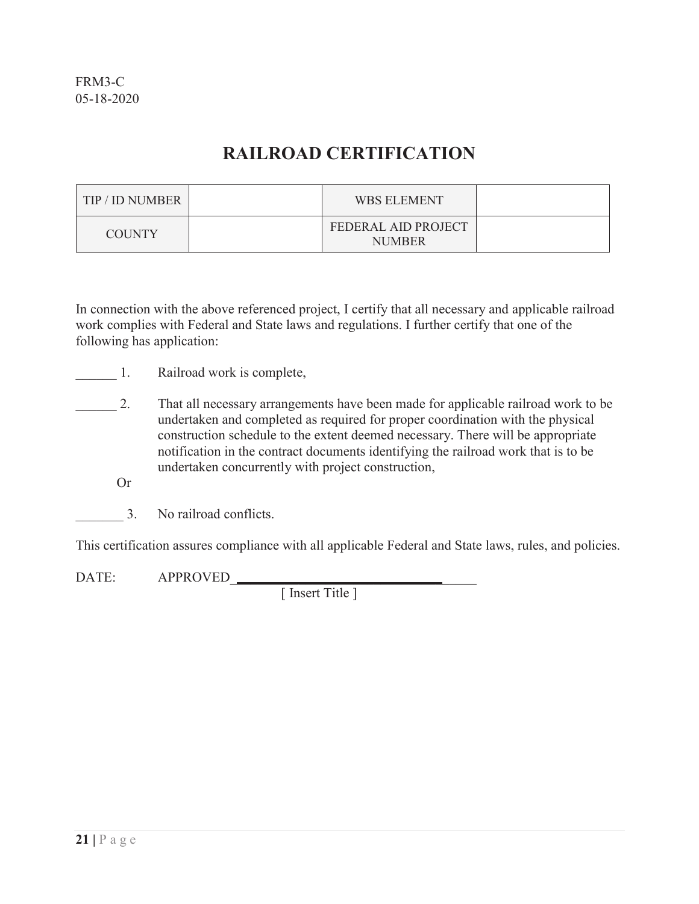## **RAILROAD CERTIFICATION**

| TIP / ID NUMBER | <b>WBS ELEMENT</b>                   |  |
|-----------------|--------------------------------------|--|
| <b>COUNTY</b>   | FEDERAL AID PROJECT<br><b>NUMBER</b> |  |

In connection with the above referenced project, I certify that all necessary and applicable railroad work complies with Federal and State laws and regulations. I further certify that one of the following has application:

- 1. Railroad work is complete,
- 2. That all necessary arrangements have been made for applicable railroad work to be undertaken and completed as required for proper coordination with the physical construction schedule to the extent deemed necessary. There will be appropriate notification in the contract documents identifying the railroad work that is to be undertaken concurrently with project construction,
	- Or
	- \_\_\_\_\_\_\_ 3. No railroad conflicts.

This certification assures compliance with all applicable Federal and State laws, rules, and policies.

DATE: APPROVED\_\_\_\_\_\_\_\_\_\_\_\_\_\_\_\_\_\_\_\_\_\_\_\_\_\_\_\_\_\_\_\_\_\_\_\_

[ Insert Title ]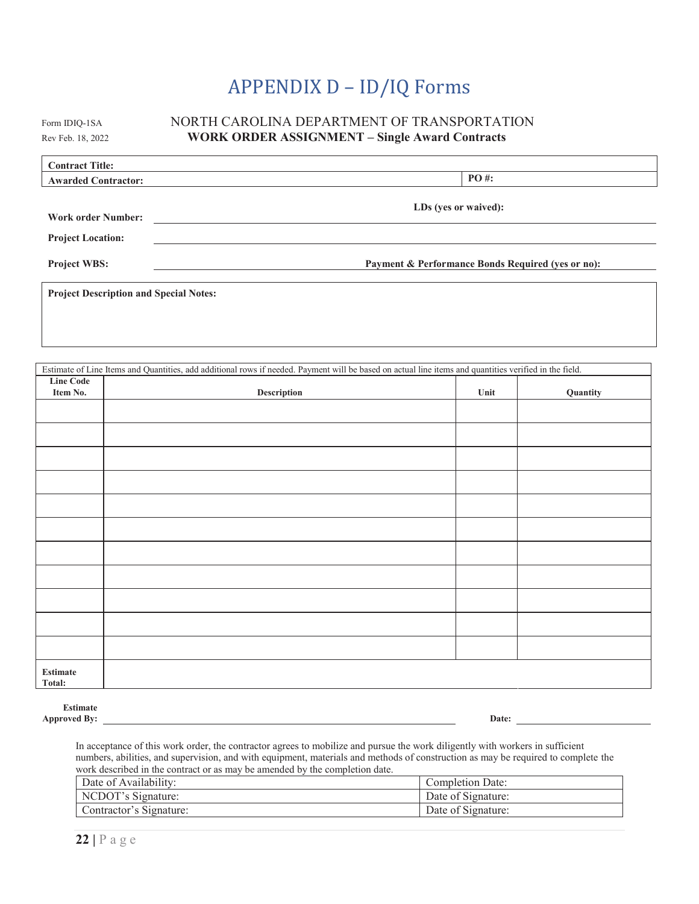# APPENDIX D – ID/IQ Forms

#### Form IDIQ-1SA NORTH CAROLINA DEPARTMENT OF TRANSPORTATION Rev Feb. 18, 2022 **WORK ORDER ASSIGNMENT – Single Award Contracts**

| <b>Contract Title:</b>                        |                                                   |  |
|-----------------------------------------------|---------------------------------------------------|--|
| <b>Awarded Contractor:</b>                    | $PO#$ :                                           |  |
| <b>Work order Number:</b>                     | LDs (yes or waived):                              |  |
| <b>Project Location:</b>                      |                                                   |  |
| <b>Project WBS:</b>                           | Payment & Performance Bonds Required (yes or no): |  |
| <b>Project Description and Special Notes:</b> |                                                   |  |

|                  | Estimate of Line Items and Quantities, add additional rows if needed. Payment will be based on actual line items and quantities verified in the field. |      |          |
|------------------|--------------------------------------------------------------------------------------------------------------------------------------------------------|------|----------|
| <b>Line Code</b> |                                                                                                                                                        |      |          |
| Item No.         | Description                                                                                                                                            | Unit | Quantity |
|                  |                                                                                                                                                        |      |          |
|                  |                                                                                                                                                        |      |          |
|                  |                                                                                                                                                        |      |          |
|                  |                                                                                                                                                        |      |          |
|                  |                                                                                                                                                        |      |          |
|                  |                                                                                                                                                        |      |          |
|                  |                                                                                                                                                        |      |          |
|                  |                                                                                                                                                        |      |          |
|                  |                                                                                                                                                        |      |          |
|                  |                                                                                                                                                        |      |          |
|                  |                                                                                                                                                        |      |          |
|                  |                                                                                                                                                        |      |          |
|                  |                                                                                                                                                        |      |          |
|                  |                                                                                                                                                        |      |          |
|                  |                                                                                                                                                        |      |          |
|                  |                                                                                                                                                        |      |          |
| <b>Estimate</b>  |                                                                                                                                                        |      |          |
| Total:           |                                                                                                                                                        |      |          |

**Estimate Approved By:** <u>Date: 2000 **Date:** 2000 **Date:** 2000 **Date:** 2000 **Date:** 2000 **Date:** 2000 **Date:** 2000 **Date:** 2000 **Date:** 2000 **Date:** 2000 **Date:** 2000 **Date:** 2000 **Date:** 2000 **Date:** 2000 **Date:** 2000 **Date:** 2000 </u>

In acceptance of this work order, the contractor agrees to mobilize and pursue the work diligently with workers in sufficient numbers, abilities, and supervision, and with equipment, materials and methods of construction as may be required to complete the work described in the contract or as may be amended by the completion date.

| Date of Availability:   | Completion Date:   |
|-------------------------|--------------------|
| NCDOT's Signature:      | Date of Signature: |
| Contractor's Signature: | Date of Signature: |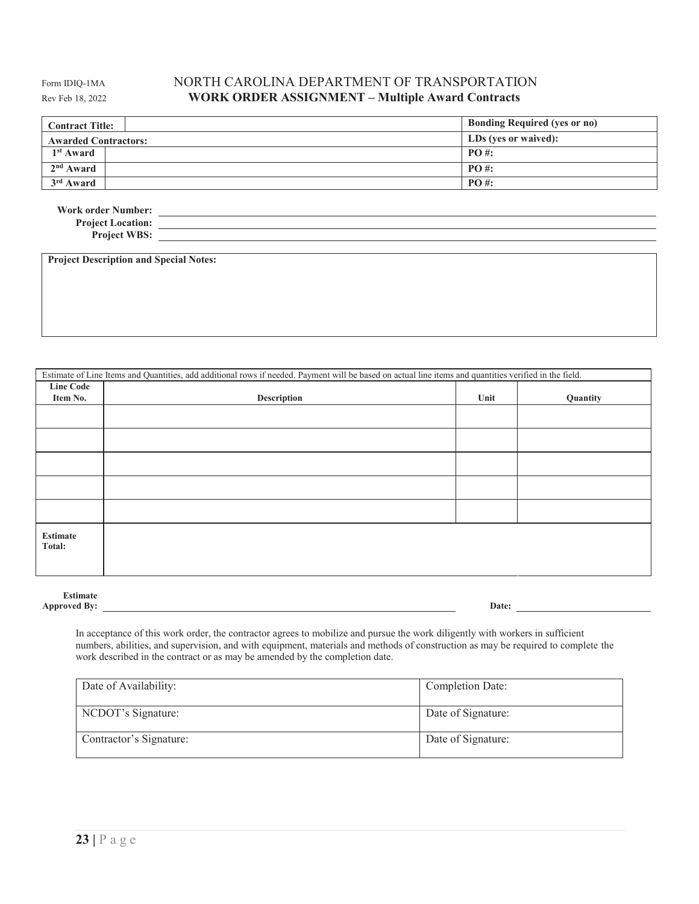#### Form IDIQ-1MA NORTH CAROLINA DEPARTMENT OF TRANSPORTATION Rev Feb 18, 2022 **WORK ORDER ASSIGNMENT – Multiple Award Contracts**

| <b>Contract Title:</b>      | <b>Bonding Required (yes or no)</b> |
|-----------------------------|-------------------------------------|
| <b>Awarded Contractors:</b> | LDs (yes or waived):                |
| 1 <sup>st</sup> Award       | $PO#$ :                             |
| $2nd$ Award                 | $PO#$ :                             |
| $3rd$ Award                 | $PO#$ :                             |

| <b>Work order Number:</b> |  |
|---------------------------|--|
| <b>Project Location:</b>  |  |
| <b>Project WBS:</b>       |  |

**Project Description and Special Notes:** 

| Estimate of Line Items and Quantities, add additional rows if needed. Payment will be based on actual line items and quantities verified in the field. |             |      |          |
|--------------------------------------------------------------------------------------------------------------------------------------------------------|-------------|------|----------|
| <b>Line Code</b><br>Item No.                                                                                                                           | Description | Unit | Quantity |
|                                                                                                                                                        |             |      |          |
|                                                                                                                                                        |             |      |          |
|                                                                                                                                                        |             |      |          |
|                                                                                                                                                        |             |      |          |
|                                                                                                                                                        |             |      |          |
| <b>Estimate</b><br>Total:                                                                                                                              |             |      |          |

| <b>Estimate</b>     |       |
|---------------------|-------|
| <b>Approved By:</b> | Date: |

In acceptance of this work order, the contractor agrees to mobilize and pursue the work diligently with workers in sufficient numbers, abilities, and supervision, and with equipment, materials and methods of construction as may be required to complete the work described in the contract or as may be amended by the completion date.

| Date of Availability:   | Completion Date:   |
|-------------------------|--------------------|
| NCDOT's Signature:      | Date of Signature: |
| Contractor's Signature: | Date of Signature: |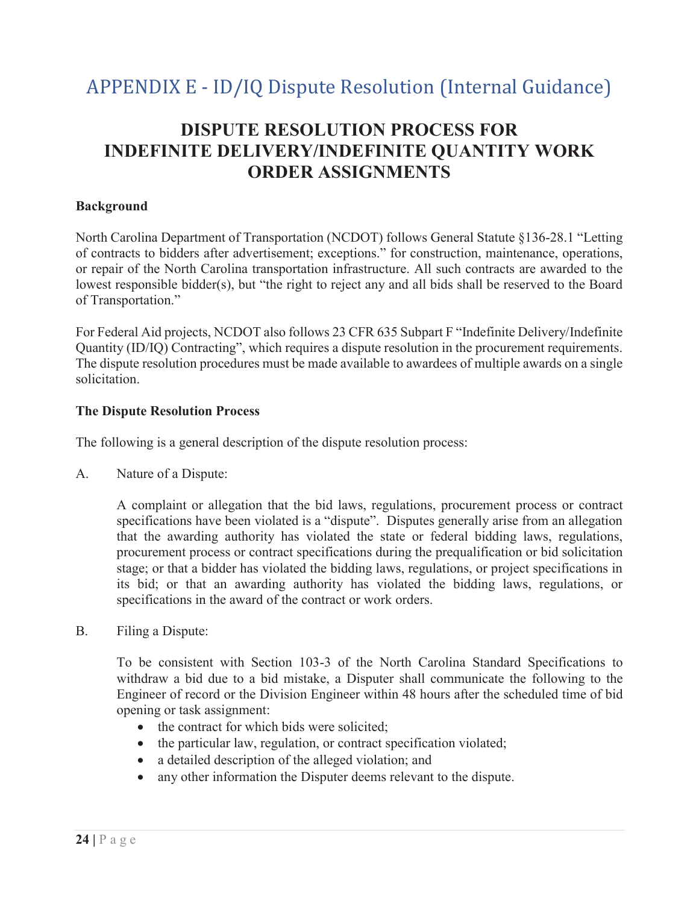# APPENDIX E - ID/IQ Dispute Resolution (Internal Guidance)

## **DISPUTE RESOLUTION PROCESS FOR INDEFINITE DELIVERY/INDEFINITE QUANTITY WORK ORDER ASSIGNMENTS**

### **Background**

North Carolina Department of Transportation (NCDOT) follows General Statute §136-28.1 "Letting of contracts to bidders after advertisement; exceptions." for construction, maintenance, operations, or repair of the North Carolina transportation infrastructure. All such contracts are awarded to the lowest responsible bidder(s), but "the right to reject any and all bids shall be reserved to the Board of Transportation."

For Federal Aid projects, NCDOT also follows 23 CFR 635 Subpart F "Indefinite Delivery/Indefinite Quantity (ID/IQ) Contracting", which requires a dispute resolution in the procurement requirements. The dispute resolution procedures must be made available to awardees of multiple awards on a single solicitation.

#### **The Dispute Resolution Process**

The following is a general description of the dispute resolution process:

A. Nature of a Dispute:

A complaint or allegation that the bid laws, regulations, procurement process or contract specifications have been violated is a "dispute". Disputes generally arise from an allegation that the awarding authority has violated the state or federal bidding laws, regulations, procurement process or contract specifications during the prequalification or bid solicitation stage; or that a bidder has violated the bidding laws, regulations, or project specifications in its bid; or that an awarding authority has violated the bidding laws, regulations, or specifications in the award of the contract or work orders.

B. Filing a Dispute:

To be consistent with Section 103-3 of the North Carolina Standard Specifications to withdraw a bid due to a bid mistake, a Disputer shall communicate the following to the Engineer of record or the Division Engineer within 48 hours after the scheduled time of bid opening or task assignment:

- the contract for which bids were solicited;
- $\bullet$  the particular law, regulation, or contract specification violated;
- $\bullet$  a detailed description of the alleged violation; and
- any other information the Disputer deems relevant to the dispute.